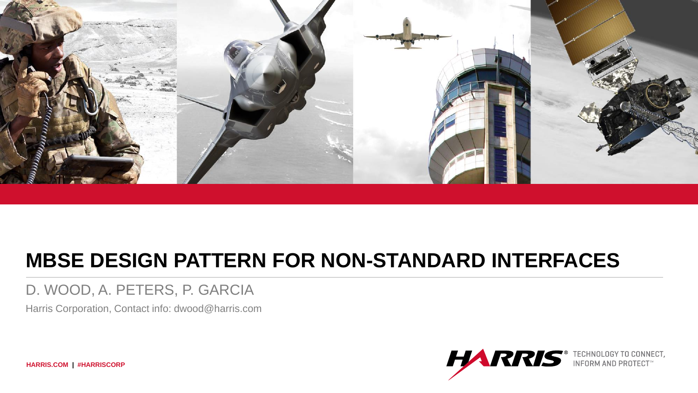

# **MBSE DESIGN PATTERN FOR NON-STANDARD INTERFACES**

#### D. WOOD, A. PETERS, P. GARCIA

Harris Corporation, Contact info: dwood@harris.com



**HARRIS.COM | #HARRISCORP**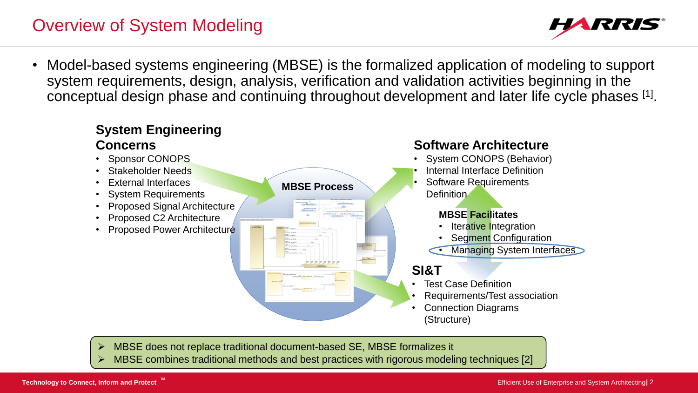# Overview of System Modeling



• Model-based systems engineering (MBSE) is the formalized application of modeling to support system requirements, design, analysis, verification and validation activities beginning in the conceptual design phase and continuing throughout development and later life cycle phases [1].



- ➢ MBSE does not replace traditional document-based SE, MBSE formalizes it
- MBSE combines traditional methods and best practices with rigorous modeling techniques [2]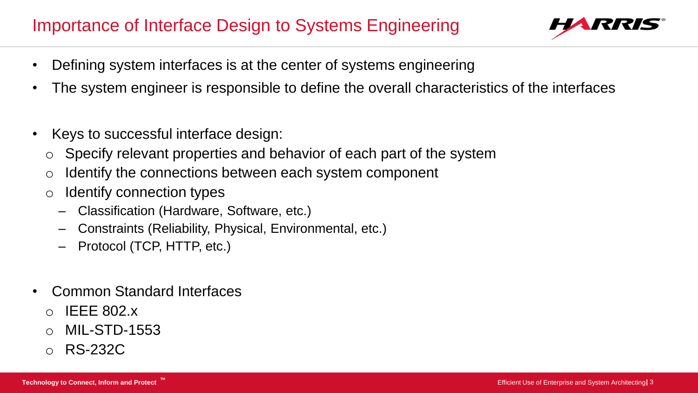# Importance of Interface Design to Systems Engineering



- Defining system interfaces is at the center of systems engineering
- The system engineer is responsible to define the overall characteristics of the interfaces
- Keys to successful interface design:
	- $\circ$  Specify relevant properties and behavior of each part of the system
	- Identify the connections between each system component
	- o Identify connection types
		- ‒ Classification (Hardware, Software, etc.)
		- ‒ Constraints (Reliability, Physical, Environmental, etc.)
		- ‒ Protocol (TCP, HTTP, etc.)
- Common Standard Interfaces
	- $\circ$  IEEE 802 x
	- MIL-STD-1553
	- o RS-232C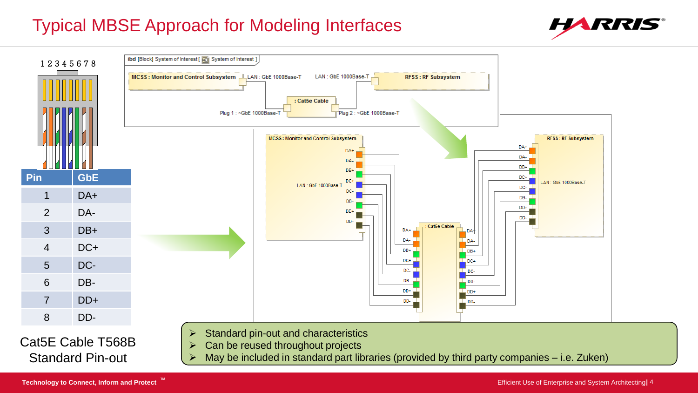# Typical MBSE Approach for Modeling Interfaces





May be included in standard part libraries (provided by third party companies – i.e. Zuken)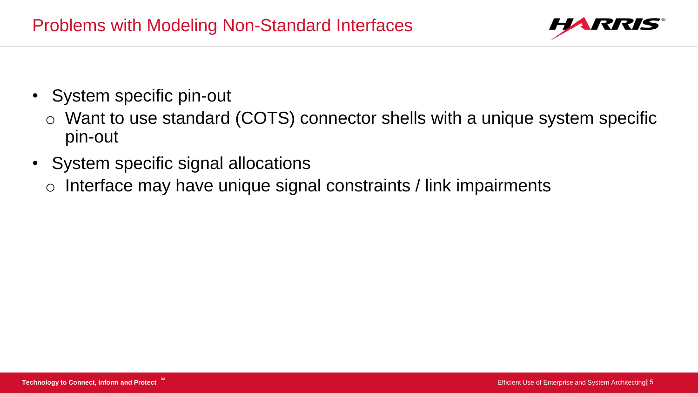

- System specific pin-out
	- o Want to use standard (COTS) connector shells with a unique system specific pin-out
- System specific signal allocations
	- o Interface may have unique signal constraints / link impairments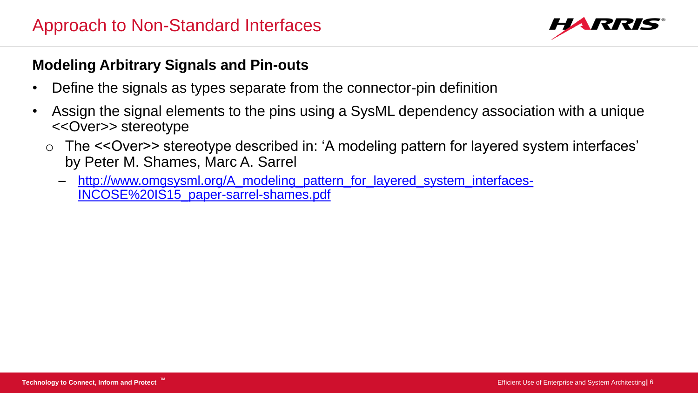

#### **Modeling Arbitrary Signals and Pin-outs**

- Define the signals as types separate from the connector-pin definition
- Assign the signal elements to the pins using a SysML dependency association with a unique <<Over>> stereotype
	- The <<Over>> stereotype described in: 'A modeling pattern for layered system interfaces' by Peter M. Shames, Marc A. Sarrel
		- [http://www.omgsysml.org/A\\_modeling\\_pattern\\_for\\_layered\\_system\\_interfaces-](http://www.omgsysml.org/A_modeling_pattern_for_layered_system_interfaces-INCOSE IS15_paper-sarrel-shames.pdf)INCOSE%20IS15\_paper-sarrel-shames.pdf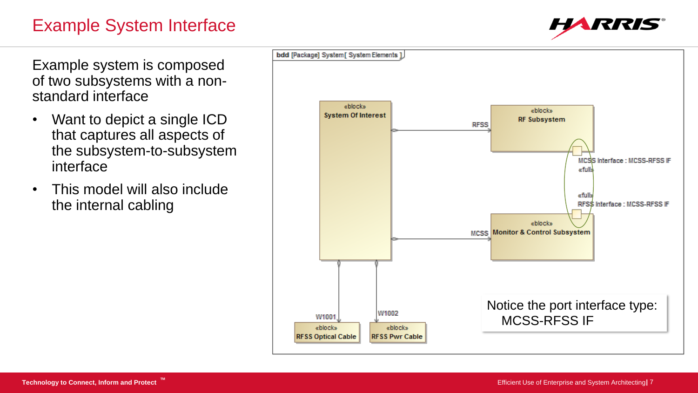### Example System Interface



Example system is composed of two subsystems with a nonstandard interface

- Want to depict a single ICD that captures all aspects of the subsystem-to-subsystem interface
- This model will also include the internal cabling

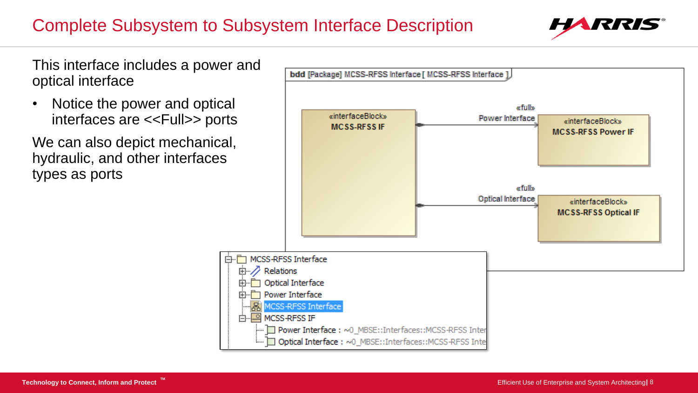# Complete Subsystem to Subsystem Interface Description



This interface includes a power and optical interface

• Notice the power and optical interfaces are <<Full>> ports

We can also depict mechanical, hydraulic, and other interfaces types as ports

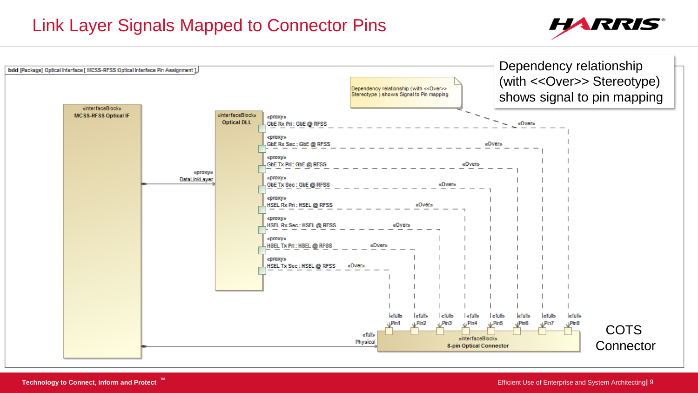#### Link Layer Signals Mapped to Connector Pins



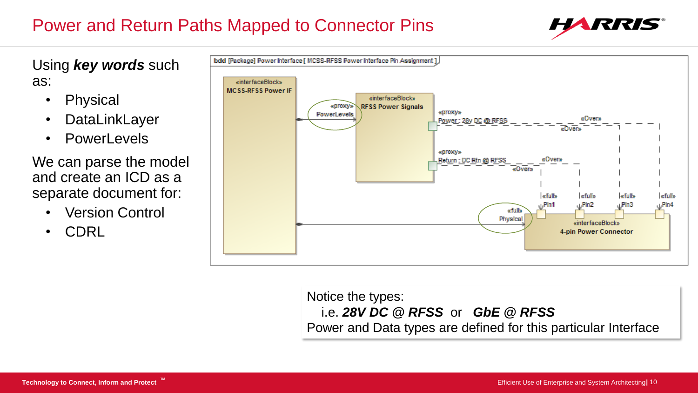# Power and Return Paths Mapped to Connector Pins



Using *key words* such as:

- Physical
- DataLinkLayer
- PowerLevels

We can parse the model and create an ICD as a separate document for:

- Version Control
- CDRL



Notice the types: i.e. *28V DC @ RFSS* or *GbE @ RFSS* Power and Data types are defined for this particular Interface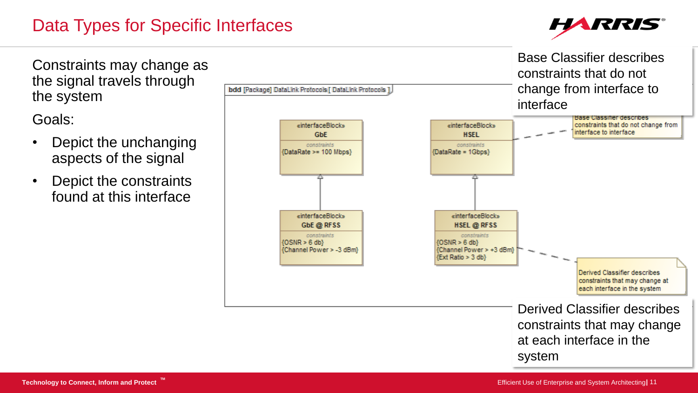# Data Types for Specific Interfaces



Constraints may change as the signal travels through the system

Goals:

- Depict the unchanging aspects of the signal
- Depict the constraints found at this interface

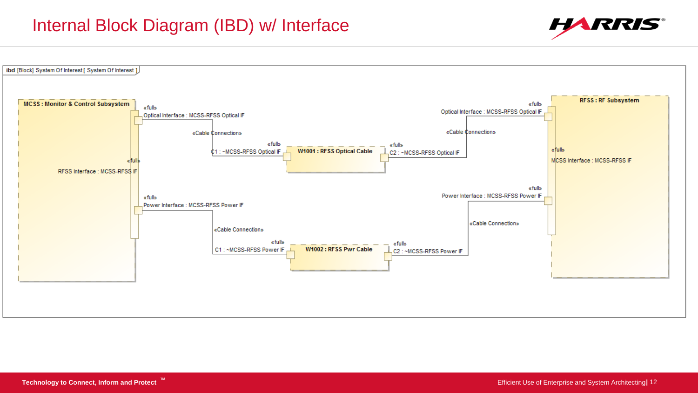#### Internal Block Diagram (IBD) w/ Interface



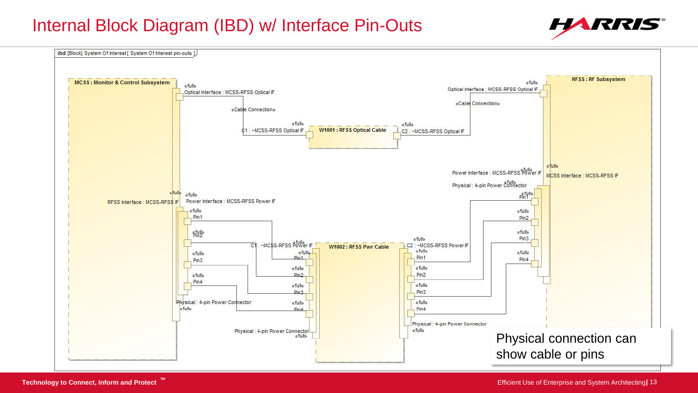#### Internal Block Diagram (IBD) w/ Interface Pin-Outs